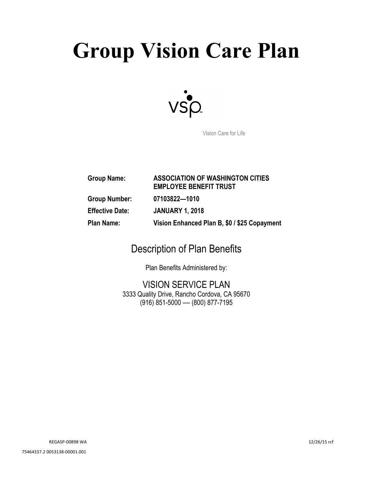# **Group Vision Care Plan**



Vision Care for Life

| <b>Group Name:</b>     | <b>ASSOCIATION OF WASHINGTON CITIES</b><br><b>EMPLOYEE BENEFIT TRUST</b> |
|------------------------|--------------------------------------------------------------------------|
| <b>Group Number:</b>   | 07103822-1010                                                            |
| <b>Effective Date:</b> | <b>JANUARY 1, 2018</b>                                                   |
| <b>Plan Name:</b>      | Vision Enhanced Plan B, \$0 / \$25 Copayment                             |

# Description of Plan Benefits

Plan Benefits Administered by:

VISION SERVICE PLAN 3333 Quality Drive, Rancho Cordova, CA 95670 (916) 851-5000 — (800) 877-7195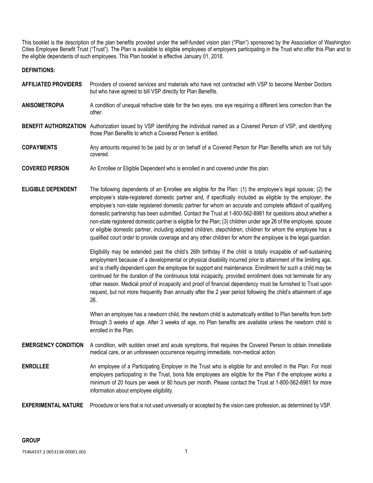This booklet is the description of the plan benefits provided under the self-funded vision plan ("Plan") sponsored by the Association of Washington Cities Employee Benefit Trust ("Trust"). The Plan is available to eligible employees of employers participating in the Trust who offer this Plan and to the eligible dependents of such employees. This Plan booklet is effective January 01, 2018.

# **DEFINITIONS:**

- **AFFILIATED PROVIDERS** Providers of covered services and materials who have not contracted with VSP to become Member Doctors but who have agreed to bill VSP directly for Plan Benefits.
- **ANISOMETROPIA** A condition of unequal refractive state for the two eyes, one eye requiring a different lens correction than the other.
- **BENEFIT AUTHORIZATION** Authorization issued by VSP identifying the individual named as a Covered Person of VSP, and identifying those Plan Benefits to which a Covered Person is entitled.
- **COPAYMENTS** Any amounts required to be paid by or on behalf of a Covered Person for Plan Benefits which are not fully covered.
- **COVERED PERSON** An Enrollee or Eligible Dependent who is enrolled in and covered under this plan.
- **ELIGIBLE DEPENDENT** The following dependents of an Enrollee are eligible for the Plan: (1) the employee's legal spouse; (2) the employee's state-registered domestic partner and, if specifically included as eligible by the employer, the employee's non-state registered domestic partner for whom an accurate and complete affidavit of qualifying domestic partnership has been submitted. Contact the Trust at 1-800-562-8981 for questions about whether a non-state registered domestic partner is eligible for the Plan; (3) children under age 26 of the employee, spouse or eligible domestic partner, including adopted children, stepchildren, children for whom the employee has a qualified court order to provide coverage and any other children for whom the employee is the legal guardian.

Eligibility may be extended past the child's 26th birthday if the child is totally incapable of self-sustaining employment because of a developmental or physical disability incurred prior to attainment of the limiting age, and is chiefly dependent upon the employee for support and maintenance. Enrollment for such a child may be continued for the duration of the continuous total incapacity, provided enrollment does not terminate for any other reason. Medical proof of incapacity and proof of financial dependency must be furnished to Trust upon request, but not more frequently than annually after the 2 year period following the child's attainment of age 26.

When an employee has a newborn child, the newborn child is automatically entitled to Plan benefits from birth through 3 weeks of age. After 3 weeks of age, no Plan benefits are available unless the newborn child is enrolled in the Plan.

- **EMERGENCY CONDITION** A condition, with sudden onset and acute symptoms, that requires the Covered Person to obtain immediate medical care, or an unforeseen occurrence requiring immediate, non-medical action.
- **ENROLLEE** An employee of a Participating Employer in the Trust who is eligible for and enrolled in the Plan. For most employers participating in the Trust, bona fide employees are eligible for the Plan if the employee works a minimum of 20 hours per week or 80 hours per month. Please contact the Trust at 1-800-562-8981 for more information about employee eligibility.

**EXPERIMENTAL NATURE** Procedure or lens that is not used universally or accepted by the vision care profession, as determined by VSP.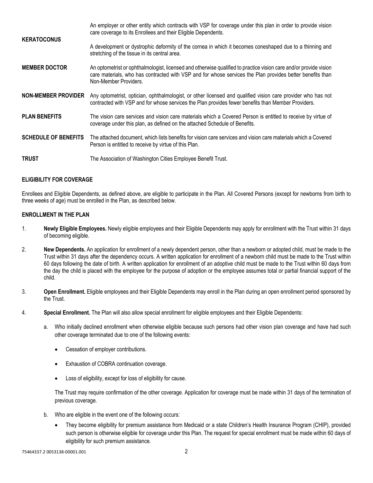| <b>KERATOCONUS</b>          | An employer or other entity which contracts with VSP for coverage under this plan in order to provide vision<br>care coverage to its Enrollees and their Eligible Dependents.                                                                           |
|-----------------------------|---------------------------------------------------------------------------------------------------------------------------------------------------------------------------------------------------------------------------------------------------------|
|                             | A development or dystrophic deformity of the cornea in which it becomes coneshaped due to a thinning and<br>stretching of the tissue in its central area.                                                                                               |
| <b>MEMBER DOCTOR</b>        | An optometrist or ophthalmologist, licensed and otherwise qualified to practice vision care and/or provide vision<br>care materials, who has contracted with VSP and for whose services the Plan provides better benefits than<br>Non-Member Providers. |
| <b>NON-MEMBER PROVIDER</b>  | Any optometrist, optician, ophthalmologist, or other licensed and qualified vision care provider who has not<br>contracted with VSP and for whose services the Plan provides fewer benefits than Member Providers.                                      |
| <b>PLAN BENEFITS</b>        | The vision care services and vision care materials which a Covered Person is entitled to receive by virtue of<br>coverage under this plan, as defined on the attached Schedule of Benefits.                                                             |
| <b>SCHEDULE OF BENEFITS</b> | The attached document, which lists benefits for vision care services and vision care materials which a Covered<br>Person is entitled to receive by virtue of this Plan.                                                                                 |
| <b>TRUST</b>                | The Association of Washington Cities Employee Benefit Trust.                                                                                                                                                                                            |

# **ELIGIBILITY FOR COVERAGE**

Enrollees and Eligible Dependents, as defined above, are eligible to participate in the Plan. All Covered Persons (except for newborns from birth to three weeks of age) must be enrolled in the Plan, as described below.

# **ENROLLMENT IN THE PLAN**

- 1. **Newly Eligible Employees.** Newly eligible employees and their Eligible Dependents may apply for enrollment with the Trust within 31 days of becoming eligible.
- 2. **New Dependents.** An application for enrollment of a newly dependent person, other than a newborn or adopted child, must be made to the Trust within 31 days after the dependency occurs. A written application for enrollment of a newborn child must be made to the Trust within 60 days following the date of birth. A written application for enrollment of an adoptive child must be made to the Trust within 60 days from the day the child is placed with the employee for the purpose of adoption or the employee assumes total or partial financial support of the child.
- 3. **Open Enrollment.** Eligible employees and their Eligible Dependents may enroll in the Plan during an open enrollment period sponsored by the Trust.
- 4. **Special Enrollment.** The Plan will also allow special enrollment for eligible employees and their Eligible Dependents:
	- a. Who initially declined enrollment when otherwise eligible because such persons had other vision plan coverage and have had such other coverage terminated due to one of the following events:
		- Cessation of employer contributions.
		- Exhaustion of COBRA continuation coverage.
		- Loss of eligibility, except for loss of eligibility for cause.

The Trust may require confirmation of the other coverage. Application for coverage must be made within 31 days of the termination of previous coverage.

- b. Who are eligible in the event one of the following occurs:
	- They become eligibility for premium assistance from Medicaid or a state Children's Health Insurance Program (CHIP), provided such person is otherwise eligible for coverage under this Plan. The request for special enrollment must be made within 60 days of eligibility for such premium assistance.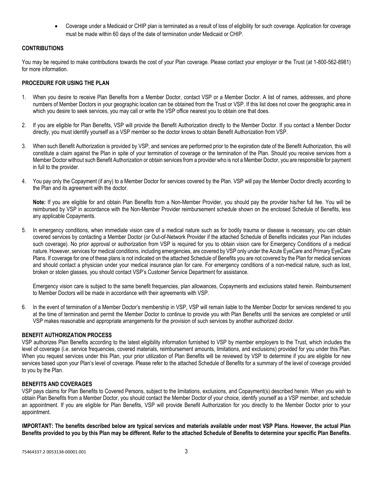• Coverage under a Medicaid or CHIP plan is terminated as a result of loss of eligibility for such coverage. Application for coverage must be made within 60 days of the date of termination under Medicaid or CHIP.

# **CONTRIBUTIONS**

You may be required to make contributions towards the cost of your Plan coverage. Please contact your employer or the Trust (at 1-800-562-8981) for more information.

# **PROCEDURE FOR USING THE PLAN**

- 1. When you desire to receive Plan Benefits from a Member Doctor, contact VSP or a Member Doctor. A list of names, addresses, and phone numbers of Member Doctors in your geographic location can be obtained from the Trust or VSP. If this list does not cover the geographic area in which you desire to seek services, you may call or write the VSP office nearest you to obtain one that does.
- 2. If you are eligible for Plan Benefits, VSP will provide the Benefit Authorization directly to the Member Doctor. If you contact a Member Doctor directly, you must identify yourself as a VSP member so the doctor knows to obtain Benefit Authorization from VSP.
- 3. When such Benefit Authorization is provided by VSP, and services are performed prior to the expiration date of the Benefit Authorization, this will constitute a claim against the Plan in spite of your termination of coverage or the termination of the Plan. Should you receive services from a Member Doctor without such Benefit Authorization or obtain services from a provider who is not a Member Doctor, you are responsible for payment in full to the provider.
- 4. You pay only the Copayment (if any) to a Member Doctor for services covered by the Plan. VSP will pay the Member Doctor directly according to the Plan and its agreement with the doctor.

**Note:** If you are eligible for and obtain Plan Benefits from a Non-Member Provider, you should pay the provider his/her full fee. You will be reimbursed by VSP in accordance with the Non-Member Provider reimbursement schedule shown on the enclosed Schedule of Benefits, less any applicable Copayments.

5. In emergency conditions, when immediate vision care of a medical nature such as for bodily trauma or disease is necessary, you can obtain covered services by contacting a Member Doctor (or Out-of-Network Provider if the attached Schedule of Benefits indicates your Plan includes such coverage). No prior approval or authorization from VSP is required for you to obtain vision care for Emergency Conditions of a medical nature. However, services for medical conditions, including emergencies, are covered by VSP only under the Acute EyeCare and Primary EyeCare Plans. If coverage for one of these plans is not indicated on the attached Schedule of Benefits you are not covered by the Plan for medical services and should contact a physician under your medical insurance plan for care. For emergency conditions of a non-medical nature, such as lost, broken or stolen glasses, you should contact VSP's Customer Service Department for assistance.

Emergency vision care is subject to the same benefit frequencies, plan allowances, Copayments and exclusions stated herein. Reimbursement to Member Doctors will be made in accordance with their agreements with VSP.

6. In the event of termination of a Member Doctor's membership in VSP, VSP will remain liable to the Member Doctor for services rendered to you at the time of termination and permit the Member Doctor to continue to provide you with Plan Benefits until the services are completed or until VSP makes reasonable and appropriate arrangements for the provision of such services by another authorized doctor.

# **BENEFIT AUTHORIZATION PROCESS**

VSP authorizes Plan Benefits according to the latest eligibility information furnished to VSP by member employers to the Trust, which includes the level of coverage (i.e. service frequencies, covered materials, reimbursement amounts, limitations, and exclusions) provided for you under this Plan. When you request services under this Plan, your prior utilization of Plan Benefits will be reviewed by VSP to determine if you are eligible for new services based upon your Plan's level of coverage. Please refer to the attached Schedule of Benefits for a summary of the level of coverage provided to you by the Plan.

# **BENEFITS AND COVERAGES**

VSP pays claims for Plan Benefits to Covered Persons, subject to the limitations, exclusions, and Copayment(s) described herein. When you wish to obtain Plan Benefits from a Member Doctor, you should contact the Member Doctor of your choice, identify yourself as a VSP member, and schedule an appointment. If you are eligible for Plan Benefits, VSP will provide Benefit Authorization for you directly to the Member Doctor prior to your appointment.

**IMPORTANT: The benefits described below are typical services and materials available under most VSP Plans. However, the actual Plan Benefits provided to you by this Plan may be different. Refer to the attached Schedule of Benefits to determine your specific Plan Benefits.**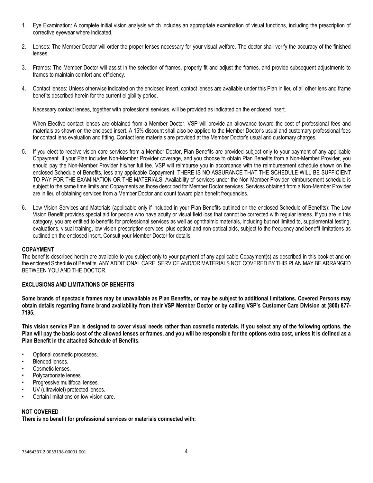- 1. Eye Examination: A complete initial vision analysis which includes an appropriate examination of visual functions, including the prescription of corrective eyewear where indicated.
- 2. Lenses: The Member Doctor will order the proper lenses necessary for your visual welfare. The doctor shall verify the accuracy of the finished lenses.
- 3. Frames: The Member Doctor will assist in the selection of frames, properly fit and adjust the frames, and provide subsequent adjustments to frames to maintain comfort and efficiency.
- 4. Contact lenses: Unless otherwise indicated on the enclosed insert, contact lenses are available under this Plan in lieu of all other lens and frame benefits described herein for the current eligibility period.

Necessary contact lenses, together with professional services, will be provided as indicated on the enclosed insert.

When Elective contact lenses are obtained from a Member Doctor, VSP will provide an allowance toward the cost of professional fees and materials as shown on the enclosed insert. A 15% discount shall also be applied to the Member Doctor's usual and customary professional fees for contact lens evaluation and fitting. Contact lens materials are provided at the Member Doctor's usual and customary charges.

- 5. If you elect to receive vision care services from a Member Doctor, Plan Benefits are provided subject only to your payment of any applicable Copayment. If your Plan includes Non-Member Provider coverage, and you choose to obtain Plan Benefits from a Non-Member Provider, you should pay the Non-Member Provider his/her full fee. VSP will reimburse you in accordance with the reimbursement schedule shown on the enclosed Schedule of Benefits, less any applicable Copayment. THERE IS NO ASSURANCE THAT THE SCHEDULE WILL BE SUFFICIENT TO PAY FOR THE EXAMINATION OR THE MATERIALS. Availability of services under the Non-Member Provider reimbursement schedule is subject to the same time limits and Copayments as those described for Member Doctor services. Services obtained from a Non-Member Provider are in lieu of obtaining services from a Member Doctor and count toward plan benefit frequencies.
- 6. Low Vision Services and Materials (applicable only if included in your Plan Benefits outlined on the enclosed Schedule of Benefits): The Low Vision Benefit provides special aid for people who have acuity or visual field loss that cannot be corrected with regular lenses. If you are in this category, you are entitled to benefits for professional services as well as ophthalmic materials, including but not limited to, supplemental testing, evaluations, visual training, low vision prescription services, plus optical and non-optical aids, subject to the frequency and benefit limitations as outlined on the enclosed insert. Consult your Member Doctor for details.

#### **COPAYMENT**

The benefits described herein are available to you subject only to your payment of any applicable Copayment(s) as described in this booklet and on the enclosed Schedule of Benefits. ANY ADDITIONAL CARE, SERVICE AND/OR MATERIALS NOT COVERED BY THIS PLAN MAY BE ARRANGED BETWEEN YOU AND THE DOCTOR.

# **EXCLUSIONS AND LIMITATIONS OF BENEFITS**

**Some brands of spectacle frames may be unavailable as Plan Benefits, or may be subject to additional limitations. Covered Persons may obtain details regarding frame brand availability from their VSP Member Doctor or by calling VSP's Customer Care Division at (800) 877- 7195.**

**This vision service Plan is designed to cover visual needs rather than cosmetic materials. If you select any of the following options, the Plan will pay the basic cost of the allowed lenses or frames, and you will be responsible for the options extra cost, unless it is defined as a Plan Benefit in the attached Schedule of Benefits.** 

- Optional cosmetic processes.
- Blended lenses.
- Cosmetic lenses.
- Polycarbonate lenses.
- Progressive multifocal lenses.
- UV (ultraviolet) protected lenses.
- Certain limitations on low vision care.

# **NOT COVERED**

**There is no benefit for professional services or materials connected with:**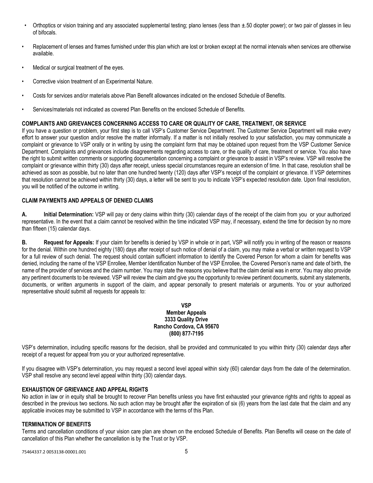- Orthoptics or vision training and any associated supplemental testing; plano lenses (less than  $\pm$ .50 diopter power); or two pair of glasses in lieu of bifocals.
- Replacement of lenses and frames furnished under this plan which are lost or broken except at the normal intervals when services are otherwise available.
- Medical or surgical treatment of the eyes.
- Corrective vision treatment of an Experimental Nature.
- Costs for services and/or materials above Plan Benefit allowances indicated on the enclosed Schedule of Benefits.
- Services/materials not indicated as covered Plan Benefits on the enclosed Schedule of Benefits.

# **COMPLAINTS AND GRIEVANCES CONCERNING ACCESS TO CARE OR QUALITY OF CARE, TREATMENT, OR SERVICE**

If you have a question or problem, your first step is to call VSP's Customer Service Department. The Customer Service Department will make every effort to answer your question and/or resolve the matter informally. If a matter is not initially resolved to your satisfaction, you may communicate a complaint or grievance to VSP orally or in writing by using the complaint form that may be obtained upon request from the VSP Customer Service Department. Complaints and grievances include disagreements regarding access to care, or the quality of care, treatment or service. You also have the right to submit written comments or supporting documentation concerning a complaint or grievance to assist in VSP's review. VSP will resolve the complaint or grievance within thirty (30) days after receipt, unless special circumstances require an extension of time. In that case, resolution shall be achieved as soon as possible, but no later than one hundred twenty (120) days after VSP's receipt of the complaint or grievance. If VSP determines that resolution cannot be achieved within thirty (30) days, a letter will be sent to you to indicate VSP's expected resolution date. Upon final resolution, you will be notified of the outcome in writing.

# **CLAIM PAYMENTS AND APPEALS OF DENIED CLAIMS**

**A. Initial Determination:** VSP will pay or deny claims within thirty (30) calendar days of the receipt of the claim from you or your authorized representative. In the event that a claim cannot be resolved within the time indicated VSP may, if necessary, extend the time for decision by no more than fifteen (15) calendar days.

**B.** Request for Appeals: If your claim for benefits is denied by VSP in whole or in part, VSP will notify you in writing of the reason or reasons for the denial. Within one hundred eighty (180) days after receipt of such notice of denial of a claim, you may make a verbal or written request to VSP for a full review of such denial. The request should contain sufficient information to identify the Covered Person for whom a claim for benefits was denied, including the name of the VSP Enrollee, Member Identification Number of the VSP Enrollee, the Covered Person's name and date of birth, the name of the provider of services and the claim number. You may state the reasons you believe that the claim denial was in error. You may also provide any pertinent documents to be reviewed. VSP will review the claim and give you the opportunity to review pertinent documents, submit any statements, documents, or written arguments in support of the claim, and appear personally to present materials or arguments. You or your authorized representative should submit all requests for appeals to:

# **VSP Member Appeals 3333 Quality Drive Rancho Cordova, CA 95670 (800) 877-7195**

VSP's determination, including specific reasons for the decision, shall be provided and communicated to you within thirty (30) calendar days after receipt of a request for appeal from you or your authorized representative.

If you disagree with VSP's determination, you may request a second level appeal within sixty (60) calendar days from the date of the determination. VSP shall resolve any second level appeal within thirty (30) calendar days.

# **EXHAUSTION OF GRIEVANCE AND APPEAL RIGHTS**

No action in law or in equity shall be brought to recover Plan benefits unless you have first exhausted your grievance rights and rights to appeal as described in the previous two sections. No such action may be brought after the expiration of six (6) years from the last date that the claim and any applicable invoices may be submitted to VSP in accordance with the terms of this Plan.

# **TERMINATION OF BENEFITS**

Terms and cancellation conditions of your vision care plan are shown on the enclosed Schedule of Benefits. Plan Benefits will cease on the date of cancellation of this Plan whether the cancellation is by the Trust or by VSP.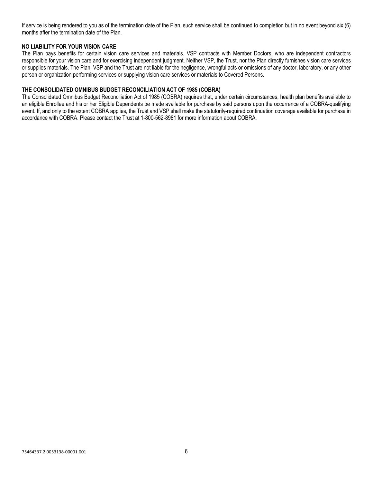If service is being rendered to you as of the termination date of the Plan, such service shall be continued to completion but in no event beyond six (6) months after the termination date of the Plan.

# **NO LIABILITY FOR YOUR VISION CARE**

The Plan pays benefits for certain vision care services and materials. VSP contracts with Member Doctors, who are independent contractors responsible for your vision care and for exercising independent judgment. Neither VSP, the Trust, nor the Plan directly furnishes vision care services or supplies materials. The Plan, VSP and the Trust are not liable for the negligence, wrongful acts or omissions of any doctor, laboratory, or any other person or organization performing services or supplying vision care services or materials to Covered Persons.

### **THE CONSOLIDATED OMNIBUS BUDGET RECONCILIATION ACT OF 1985 (COBRA)**

The Consolidated Omnibus Budget Reconciliation Act of 1985 (COBRA) requires that, under certain circumstances, health plan benefits available to an eligible Enrollee and his or her Eligible Dependents be made available for purchase by said persons upon the occurrence of a COBRA-qualifying event. If, and only to the extent COBRA applies, the Trust and VSP shall make the statutorily-required continuation coverage available for purchase in accordance with COBRA. Please contact the Trust at 1-800-562-8981 for more information about COBRA.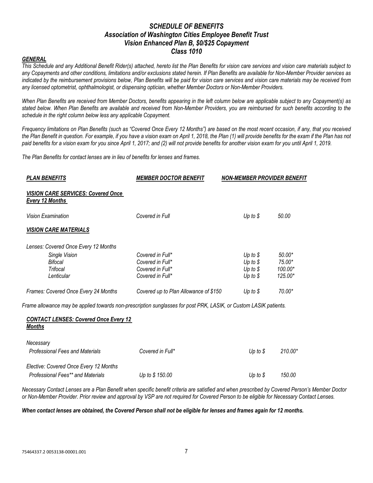# *SCHEDULE OF BENEFITS Association of Washington Cities Employee Benefit Trust Vision Enhanced Plan B, \$0/\$25 Copayment Class 1010*

#### *GENERAL*

*This Schedule and any Additional Benefit Rider(s) attached, hereto list the Plan Benefits for vision care services and vision care materials subject to any Copayments and other conditions, limitations and/or exclusions stated herein. If Plan Benefits are available for Non-Member Provider services as indicated by the reimbursement provisions below, Plan Benefits will be paid for vision care services and vision care materials may be received from any licensed optometrist, ophthalmologist, or dispensing optician, whether Member Doctors or Non-Member Providers.*

*When Plan Benefits are received from Member Doctors, benefits appearing in the left column below are applicable subject to any Copayment(s) as stated below. When Plan Benefits are available and received from Non-Member Providers, you are reimbursed for such benefits according to the schedule in the right column below less any applicable Copayment.*

*Frequency limitations on Plan Benefits (such as "Covered Once Every 12 Months") are based on the most recent occasion, if any, that you received the Plan Benefit in question. For example, if you have a vision exam on April 1, 2018, the Plan (1) will provide benefits for the exam if the Plan has not paid benefits for a vision exam for you since April 1, 2017; and (2) will not provide benefits for another vision exam for you until April 1, 2019.*

*The Plan Benefits for contact lenses are in lieu of benefits for lenses and frames.* 

| <b>PLAN BENEFITS</b>                                                                                                                                                                                                                                                          | <b>MEMBER DOCTOR BENEFIT</b>          | NON-MEMBER PROVIDER BENEFIT |          |
|-------------------------------------------------------------------------------------------------------------------------------------------------------------------------------------------------------------------------------------------------------------------------------|---------------------------------------|-----------------------------|----------|
| <b>VISION CARE SERVICES: Covered Once</b><br>Every 12 Months                                                                                                                                                                                                                  |                                       |                             |          |
| Vision Examination                                                                                                                                                                                                                                                            | Covered in Full                       | Up to $$$                   | 50.00    |
| <b>VISION CARE MATERIALS</b>                                                                                                                                                                                                                                                  |                                       |                             |          |
| Lenses: Covered Once Every 12 Months                                                                                                                                                                                                                                          |                                       |                             |          |
| Single Vision                                                                                                                                                                                                                                                                 | Covered in Full*                      | Up to $$$                   | $50.00*$ |
| Bifocal                                                                                                                                                                                                                                                                       | Covered in Full*                      | Up to $$$                   | 75.00*   |
| Trifocal                                                                                                                                                                                                                                                                      | Covered in Full*                      | Up to $$$                   | 100.00*  |
| Lenticular                                                                                                                                                                                                                                                                    | Covered in Full*                      | Up to $$$                   | 125.00*  |
| Frames: Covered Once Every 24 Months                                                                                                                                                                                                                                          | Covered up to Plan Allowance of \$150 | Up to $$$                   | 70.00*   |
| Frame allowance may be applied towards non-prescription sunglasses for post PRK, LASIK, or Custom LASIK patients.                                                                                                                                                             |                                       |                             |          |
| $A A I T A A T I F I I A T A. A 11111 A 1211 A 1311 A 1411 A 1511 A 1611 A 1711 A 1811 A 1911 A 1911 A 1911 A 1911 A 1911 A 1911 A 1911 A 1911 A 1911 A 1911 A 1911 A 1911 A 1911 A 1911 A 1911 A 1911 A 1911 A 1911 A 1911 A 1911 A 1911 A 1911 A 1911 A 1911 A 1911 A 1911$ |                                       |                             |          |

#### *CONTACT LENSES: Covered Once Every 12 Months*

| Necessary                              |                  |                    |         |
|----------------------------------------|------------------|--------------------|---------|
| <b>Professional Fees and Materials</b> | Covered in Full* | Up to $\mathcal S$ | 210.00* |
|                                        |                  |                    |         |
| Elective: Covered Once Every 12 Months |                  |                    |         |
| Professional Fees** and Materials      | Up to \$150.00   | Up to $\mathcal S$ | 150.00  |

*Necessary Contact Lenses are a Plan Benefit when specific benefit criteria are satisfied and when prescribed by Covered Person's Member Doctor or Non-Member Provider. Prior review and approval by VSP are not required for Covered Person to be eligible for Necessary Contact Lenses.*

#### *When contact lenses are obtained, the Covered Person shall not be eligible for lenses and frames again for 12 months.*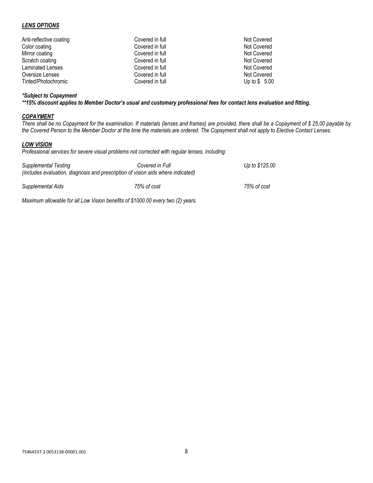# *LENS OPTIONS*

| Anti-reflective coating | Covered in full | Not Covered   |
|-------------------------|-----------------|---------------|
| Color coating           | Covered in full | Not Covered   |
| Mirror coating          | Covered in full | Not Covered   |
| Scratch coating         | Covered in full | Not Covered   |
| <b>Laminated Lenses</b> | Covered in full | Not Covered   |
| Oversize Lenses         | Covered in full | Not Covered   |
| Tinted/Photochromic     | Covered in full | Up to \$ 5.00 |

# *\*Subject to Copayment*

*\*\*15% discount applies to Member Doctor's usual and customary professional fees for contact lens evaluation and fitting.*

### *COPAYMENT*

*There shall be no Copayment for the examination. If materials (lenses and frames) are provided, there shall be a Copayment of \$ 25.00 payable by the Covered Person to the Member Doctor at the time the materials are ordered. The Copayment shall not apply to Elective Contact Lenses.*

### *LOW VISION*

*Professional services for severe visual problems not corrected with regular lenses, including:*

| Supplemental Testing<br>(includes evaluation, diagnosis and prescription of vision aids where indicated) | Covered in Full | Up to \$125.00 |
|----------------------------------------------------------------------------------------------------------|-----------------|----------------|
| Supplemental Aids                                                                                        | 75% of cost     | 75% of cost    |

*Maximum allowable for all Low Vision benefits of \$1000.00 every two (2) years.*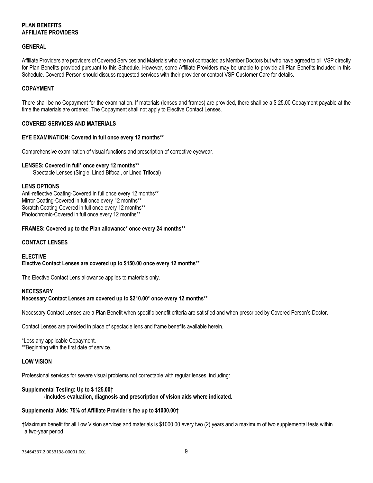# **PLAN BENEFITS AFFILIATE PROVIDERS**

# **GENERAL**

Affiliate Providers are providers of Covered Services and Materials who are not contracted as Member Doctors but who have agreed to bill VSP directly for Plan Benefits provided pursuant to this Schedule. However, some Affiliate Providers may be unable to provide all Plan Benefits included in this Schedule. Covered Person should discuss requested services with their provider or contact VSP Customer Care for details.

# **COPAYMENT**

There shall be no Copayment for the examination. If materials (lenses and frames) are provided, there shall be a \$ 25.00 Copayment payable at the time the materials are ordered. The Copayment shall not apply to Elective Contact Lenses.

### **COVERED SERVICES AND MATERIALS**

### **EYE EXAMINATION: Covered in full once every 12 months\*\***

Comprehensive examination of visual functions and prescription of corrective eyewear.

### **LENSES: Covered in full\* once every 12 months\*\***

Spectacle Lenses (Single, Lined Bifocal, or Lined Trifocal)

# **LENS OPTIONS**

Anti-reflective Coating-Covered in full once every 12 months\*\* Mirror Coating-Covered in full once every 12 months\*\* Scratch Coating-Covered in full once every 12 months\*\* Photochromic-Covered in full once every 12 months\*\*

### **FRAMES: Covered up to the Plan allowance\* once every 24 months\*\***

# **CONTACT LENSES**

#### **ELECTIVE Elective Contact Lenses are covered up to \$150.00 once every 12 months\*\***

The Elective Contact Lens allowance applies to materials only.

# **NECESSARY**

# **Necessary Contact Lenses are covered up to \$210.00\* once every 12 months\*\***

Necessary Contact Lenses are a Plan Benefit when specific benefit criteria are satisfied and when prescribed by Covered Person's Doctor.

Contact Lenses are provided in place of spectacle lens and frame benefits available herein.

\*Less any applicable Copayment. \*\*Beginning with the first date of service.

# **LOW VISION**

Professional services for severe visual problems not correctable with regular lenses, including:

# **Supplemental Testing: Up to \$ 125.00†**

**-Includes evaluation, diagnosis and prescription of vision aids where indicated.**

# **Supplemental Aids: 75% of Affiliate Provider's fee up to \$1000.00†**

†Maximum benefit for all Low Vision services and materials is \$1000.00 every two (2) years and a maximum of two supplemental tests within a two-year period